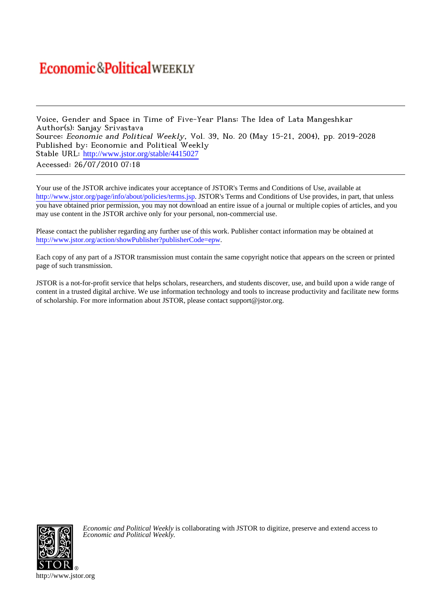# **Economic&PoliticalWEEKLY**

Voice, Gender and Space in Time of Five-Year Plans: The Idea of Lata Mangeshkar Author(s): Sanjay Srivastava Source: Economic and Political Weekly, Vol. 39, No. 20 (May 15-21, 2004), pp. 2019-2028 Published by: Economic and Political Weekly Stable URL: [http://www.jstor.org/stable/4415027](http://www.jstor.org/stable/4415027?origin=JSTOR-pdf) Accessed: 26/07/2010 07:18

Your use of the JSTOR archive indicates your acceptance of JSTOR's Terms and Conditions of Use, available at <http://www.jstor.org/page/info/about/policies/terms.jsp>. JSTOR's Terms and Conditions of Use provides, in part, that unless you have obtained prior permission, you may not download an entire issue of a journal or multiple copies of articles, and you may use content in the JSTOR archive only for your personal, non-commercial use.

Please contact the publisher regarding any further use of this work. Publisher contact information may be obtained at [http://www.jstor.org/action/showPublisher?publisherCode=epw.](http://www.jstor.org/action/showPublisher?publisherCode=epw)

Each copy of any part of a JSTOR transmission must contain the same copyright notice that appears on the screen or printed page of such transmission.

JSTOR is a not-for-profit service that helps scholars, researchers, and students discover, use, and build upon a wide range of content in a trusted digital archive. We use information technology and tools to increase productivity and facilitate new forms of scholarship. For more information about JSTOR, please contact support@jstor.org.



*Economic and Political Weekly* is collaborating with JSTOR to digitize, preserve and extend access to *Economic and Political Weekly.*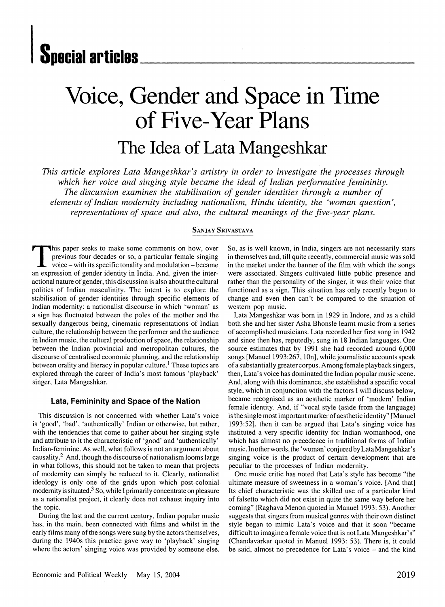# **Voice, Gender and Space in Time of Five-Year Plans**

**The Idea of Lata Mangeshkar** 

**This article explores Lata Mangeshkar's artistry in order to investigate the processes through which her voice and singing style became the ideal of Indian performative femininity. The discussion examines the stabilisation of gender identities through a number of elements of Indian modernity including nationalism, Hindu identity, the 'woman question', representations of space and also, the cultural meanings of the five-year plans.** 

# **SANJAY SRIVASTAVA**

**his paper seeks to make some comments on how, over previous four decades or so, a particular female singing voice - with its specific tonality and modulation - became an expression of gender identity in India. And, given the interactional nature of gender, this discussion is also about the cultural politics of Indian masculinity. The intent is to explore the stabilisation of gender identities through specific elements of Indian modernity: a nationalist discourse in which 'woman' as a sign has fluctuated between the poles of the mother and the sexually dangerous being, cinematic representations of Indian culture, the relationship between the performer and the audience in Indian music, the cultural production of space, the relationship between the Indian provincial and metropolitan cultures, the discourse of centralised economic planning, and the relationship between orality and literacy in popular culture. These topics are explored through the career of India's most famous 'playback' singer, Lata Mangeshkar.** 

## **Lata, Femininity and Space of the Nation**

**This discussion is not concerned with whether Lata's voice is 'good', 'bad', 'authentically' Indian or otherwise, but rather, with the tendencies that come to gather about her singing style and attribute to it the characteristic of 'good' and 'authentically' Indian-feminine. As well, what follows is not an argument about causality.2 And, though the discourse of nationalism looms large in what follows, this should not be taken to mean that projects of modernity can simply be reduced to it. Clearly, nationalist ideology is only one of the grids upon which post-colonial modernity is situated.3 So, while I primarily concentrate on pleasure as a nationalist project, it clearly does not exhaust inquiry into the topic.** 

**During the last and the current century, Indian popular music has, in the main, been connected with films and whilst in the early films many of the songs were sung by the actors themselves, during the 1940s this practice gave way to 'playback' singing where the actors' singing voice was provided by someone else.**  **So, as is well known, in India, singers are not necessarily stars in themselves and, till quite recently, commercial music was sold in the market under the banner of the film with which the songs were associated. Singers cultivated little public presence and rather than the personality of the singer, it was their voice that functioned as a sign. This situation has only recently begun to change and even then can't be compared to the situation of western pop music.** 

**Lata Mangeshkar was born in 1929 in Indore, and as a child both she and her sister Asha Bhonsle learnt music from a series of accomplished musicians. Lata recorded her first song in 1942 and since then has, reputedly, sung in 18 Indian languages. One source estimates that by 1991 she had recorded around 6,000 songs [Manuel 1993:267, 10n], while journalistic accounts speak of a substantially greater corpus. Among female playback singers, then, Lata's voice has dominated the Indian popular music scene. And, along with this dominance, she established a specific vocal style, which in conjunction with the factors I will discuss below, became recognised as an aesthetic marker of 'modem' Indian female identity. And, if "vocal style (aside from the language) is the single most important marker of aesthetic identity" [Manuel 1993:52], then it can be argued that Lata's singing voice has**  instituted a very specific identity for Indian womanhood, one **which has almost no precedence in traditional forms of Indian**  music. In other words, the 'woman' conjured by Lata Mangeshkar's **singing voice is the product of certain development that are peculiar to the processes of Indian modernity.** 

**One music critic has noted that Lata's style has become "the ultimate measure of sweetness in a woman's voice. [And that] Its chief characteristic was the skilled use of a particular kind of falsetto which did not exist in quite the same way before her coming" (Raghava Menon quoted in Manuel 1993: 53). Another suggests that singers from musical genres with their own distinct style began to mimic Lata's voice and that it soon "became difficult to imagine a female voice that is not Lata Mangeshkar's" (Chandavarkar quoted in Manuel 1993: 53). There is, it could be said, almost no precedence for Lata's voice - and the kind**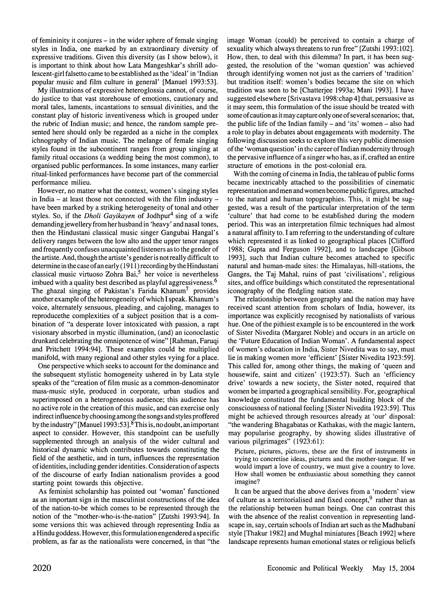**of femininity it conjures - in the wider sphere of female singing styles in India, one marked by an extraordinary diversity of expressive traditions. Given this diversity (as I show below), it is important to think about how Lata Mangeshkar's shrill adolescent-girl falsetto came to be established as the 'ideal' in 'Indian popular music and film culture in general' [Manuel 1993:53].** 

**My illustrations of expressive heteroglossia cannot, of course, do justice to that vast storehouse of emotions, cautionary and moral tales, laments, incantations to sensual divinities, and the constant play of historic inventiveness which is grouped under the rubric of Indian music; and hence, the random sample presented here should only be regarded as a niche in the complex ichnography of Indian music. The melange of female singing styles found in the subcontinent ranges from group singing at family ritual occasions (a wedding being the most common), to organised public performances. In some instances, many earlier ritual-linked performances have become part of the commercial performance milieu.** 

**However, no matter what the context, women's singing styles in India - at least those not connected with the film industry have been marked by a striking heterogeneity of tonal and other styles. So, if the Dholi Gayikayen of Jodhpur4 sing of a wife demandingjewellery from her husband in 'heavy' and nasal tones, then the Hindustani classical music singer Gangubai Hangal's delivery ranges between the low alto and the upper tenor ranges and frequently confuses unacquainted listeners as to the gender of the artiste. And, though the artiste's gender is not really difficult to determine in the case of an early ( 1911) recording by the Hindustani classical music virtuoso Zohra Bai,5 her voice is nevertheless imbued with a quality best described as playful aggressiveness.6 The ghazal singing of Pakistan's Farida Khanum7 provides another example of the heterogeneity of which I speak. Khanum's voice, alternately sensuous, pleading, and cajoling, manages to reproducethe complexities of a subject position that is a combination of "a desperate lover intoxicated with passion, a rapt visionary absorbed in mystic illumination, (and) an iconoclastic drunkard celebrating the omnipotence of wine" [Rahman, Faruqi and Pritchett 1994:94]. These examples could be multiplied manifold, with many regional and other styles vying for a place.** 

**One perspective which seeks to account for the dominance and the subsequent stylistic homogeneity ushered in by Lata style speaks of the "creation of film music as a common-denominator mass-music style, produced in corporate, urban studios and superimposed on a heterogeneous audience; this audience has no active role in the creation of this music, and can exercise only indirect influence by choosing among the songs and styles proffered by theindustry" [Manuel 1993:53].8This is, nodoubt, an important aspect to consider. However, this standpoint can be usefully supplemented through an analysis of the wider cultural and historical dynamic which contributes towards constituting the field of the aesthetic, and in turn, influences the representation of identities, including gender identities. Consideration of aspects of the discourse of early Indian nationalism provides a good starting point towards this objective.** 

**As feminist scholarship has pointed out 'woman' functioned as an important sign in the masculinist constructions of the idea of the nation-to-be which comes to be represented through the notion of the "mother-who-is-the-nation" [Zutshi 1993:94]. In some versions this was achieved through representing India as a Hindu goddess. However, this formulation engendered a specific problem, as far as the nationalists were concerned, in that "the**  **image Woman (could) be perceived to contain a charge of sexuality which always threatens to run free" [Zutshi 1993:102]. How, then, to deal with this dilemma? In part, it has been suggested, the resolution of the 'woman question' was achieved through identifying women not just as the carriers of 'tradition' but tradition itself: women's bodies became the site on which tradition was seen to be [Chatterjee 1993a; Mani 1993]. I have suggested elsewhere [Srivastava 1998:chap 4] that, persuasive as it may seem, this formulation of the issue should be treated with some of caution as it may capture only one of several scenarios; that, the public life of the Indian family - and 'its' women - also had a role to play in debates about engagements with modernity. The following discussion seeks to explore this very public dimension of the 'woman question' in the career of Indian modernity through the pervasive influence of a singer who has, as if, crafted an entire structure of emotions in the post-colonial era.** 

**With the coming of cinema in India, the tableau of public forms became inextricably attached to the possibilities of cinematic representation and men and women become public figures, attached to the natural and human topographies. This, it might be suggested, was a result of the particular interpretation of the term**  'culture' that had come to be established during the modern **period. This was an interpretation filmic techniques had almost a natural affinity to. I am referring to the understanding of culture which represented it as linked to geographical places [Clifford 1988; Gupta and Ferguson 1992], and to landscape [Gibson 1993], such that Indian culture becomes attached to specific natural and human-made sites: the Himalayas, hill-stations, the Ganges, the Taj Mahal, ruins of past 'civilisations', religious sites, and office buildings which constituted the representational iconography of the fledgling nation state.** 

**The relationship between geography and the nation may have received scant attention from scholars of India, however, its importance was explicitly recognised by nationalists of various hue. One of the pithiest example is to be encountered in the work of Sister Nivedita (Margaret Noble) and occurs in an article on the 'Future Education of Indian Woman'. A fundamental aspect of women's education in India, Sister Nivedita was to say, must lie in making women more 'efficient' [Sister Nivedita 1923:59]. This called for, among other things, the making of 'queen and housewife, saint and citizen' (1923:57). Such an 'efficiency drive' towards a new society, the Sister noted, required that women be imparted a geographical sensibility. For, geographical knowledge constituted the fundamental building block of the consciousness of national feeling [Sister Nivedita 1923:59]. This might be achieved through resources already at 'our' disposal: "the wandering Bhagabatas or Kathakas, with the magic lantern, may popularise geography, by showing slides illustrative of various pilgrimages" (1923:61):** 

**Picture, pictures, pictures, these are the first of instruments in trying to concretise ideas, pictures and the mother-tongue. If we would impart a love of country, we must give a country to love. How shall women be enthusiastic about something they cannot imagine?** 

**It can be argued that the above derives from a 'modem' view of culture as a territorialised and fixed concept,9 rather than as the relationship between human beings. One can contrast this with the absence of the realist convention in representing landscape in, say, certain schools of Indian art such as the Madhubani style [Thakur 1982] and Mughal miniatures [Beach 1992] where landscape represents human emotional states or religious beliefs**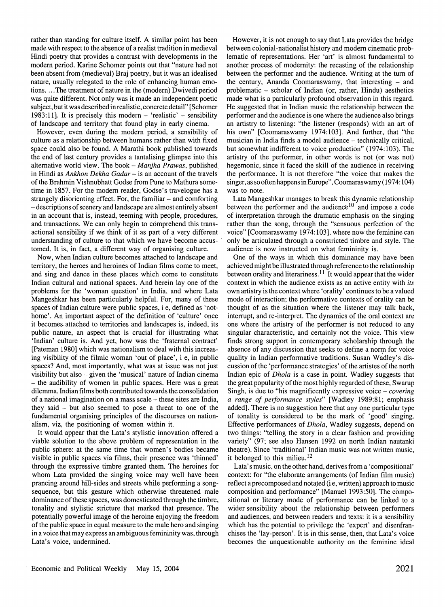**rather than standing for culture itself. A similar point has been made with respect to the absence of a realist tradition in medieval Hindi poetry that provides a contrast with developments in the modem period. Karine Schomer points out that "nature had not been absent from (medieval) Braj poetry, but it was an idealised nature, usually relegated to the role of enhancing human emotions. ...The treatment of nature in the (modern) Dwivedi period was quite different. Not only was it made an independent poetic subject, but it was described in realistic, concrete detail" [Schomer**  1983:11]. It is precisely this modern – 'realistic' – sensibility **of landscape and territory that found play in early cinema.** 

**However, even during the modern period, a sensibility of culture as a relationship between humans rather than with fixed space could also be found. A Marathi book published towards the end of last century provides a tantalising glimpse into this alternative world view. The book - Manjha Prawas, published**  in Hindi as Ankhon Dekha Gadar - is an account of the travels **of the Brahmin Vishnubhatt Godse from Pune to Mathura sometime in 1857. For the modern reader, Godse's travelogue has a**  strangely disorienting effect. For, the familiar – and comforting **- descriptions of scenery and landscape are almost entirely absent in an account that is, instead, teeming with people, procedures, and transactions. We can only begin to comprehend this transactional sensibility if we think of it as part of a very different understanding of culture to that which we have become accustomed. It is, in fact, a different way of organising culture.** 

**Now, when Indian culture becomes attached to landscape and territory, the heroes and heroines of Indian films come to meet, and sing and dance in these places which come to constitute Indian cultural and national spaces. And herein lay one of the problems for the 'woman question' in India, and where Lata Mangeshkar has been particularly helpful. For, many of these spaces of Indian culture were public spaces, i e, defined as 'nothome'. An important aspect of the definition of 'culture' once it becomes attached to territories and landscapes is, indeed, its public nature, an aspect that is crucial for illustrating what 'Indian' culture is. And yet, how was the 'fraternal contract' [Pateman 1980] which was nationalism to deal with this increasing visibility of the filmic woman 'out of place', i e, in public spaces? And, most importantly, what was at issue was not just visibility but also - given the 'musical' nature of Indian cinema - the audibility of women in public spaces. Here was a great dilemma. Indian films both contributed towards the consolidation of a national imagination on a mass scale - these sites are India, they said - but also seemed to pose a threat to one of the fundamental organising principles of the discourses on nationalism, viz, the positioning of women within it.** 

**It would appear that the Lata's stylistic innovation offered a viable solution to the above problem of representation in the public sphere: at the same time that women's bodies became visible in public spaces via films, their presence was 'thinned' through the expressive timbre granted them. The heroines for whom Lata provided the singing voice may well have been prancing around hill-sides and streets while performing a songsequence, but this gesture which otherwise threatened male dominance of these spaces, was domesticated through the timbre, tonality and stylistic stricture that marked that presence. The potentially powerful image of the heroine enjoying the freedom of the public space in equal measure to the male hero and singing in a voice that may express an ambiguous femininity was, through Lata's voice, undermined.** 

**However, it is not enough to say that Lata provides the bridge between colonial-nationalist history and modern cinematic problematic of representations. Her 'art' is almost fundamental to another process of modernity: the recasting of the relationship between the performer and the audience. Writing at the turn of the century, Ananda Coomaraswamy, that interesting - and problematic - scholar of Indian (or, rather, Hindu) aesthetics made what is a particularly profound observation in this regard. He suggested that in Indian music the relationship between the performer and the audience is one where the audience also brings an artistry to listening: "the listener (responds) with an art of his own" [Coomaraswamy 1974:103]. And further, that "the musician in India finds a model audience - technically critical,**  but somewhat indifferent to voice production" (1974:103). The **artistry of the performer, in other words is not (or was not) hegemonic, since it faced the skill of the audience in receiving the performance. It is not therefore "the voice that makes the singer, as so often happens in Europe", Coomaraswamy (1974:104) was to note.** 

**Lata Mangeshkar manages to break this dynamic relationship between the performer and the audience10 and impose a code of interpretation through the dramatic emphasis on the singing rather than the song, through the "sensuous perfection of the voice" [Coomaraswamy 1974:103]. where now the feminine can only be articulated through a constricted timbre and style. The audience is now instructed on what femininity is.** 

**One of the ways in which this dominance may have been achieved might be illustrated through reference to the relationship**  between orality and literariness.<sup>11</sup> It would appear that the wider **context in which the audience exists as an active entity with its own artistry is the context where 'orality' continues to be a valued mode of interaction; the performative contexts of orality can be thought of as the situation where the listener may talk back, interrupt, and re-interpret. The dynamics of the oral context are one where the artistry of the performer is not reduced to any singular characteristic, and certainly not the voice. This view finds strong support in contemporary scholarship through the absence of any discussion that seeks to define a norm for voice quality in Indian performative traditions. Susan Wadley's discussion of the 'performance strategies' of the artistes of the north Indian epic of Dhola is a case in point. Wadley suggests that the great popularity of the most highly regarded of these, Swarup Singh, is due to "his magnificently expressive voice - covering a range of performance styles" [Wadley 1989:81; emphasis added]. There is no suggestion here that any one particular type of tonality is considered to be the mark of 'good' singing. Effective performances of Dhola, Wadley suggests, depend on two things: "telling the story in a clear fashion and providing variety" (97; see also Hansen 1992 on north Indian nautanki theatre). Since 'traditional' Indian music was not written music, it belonged to this milieu.12** 

**Lata's music, on the other hand, derives from a 'compositional' context: for "the elaborate arrangements (of Indian film music) reflect a precomposed and notated (i e, written) approach to music composition and performance" [Manuel 1993:50]. The compositional or literary mode of performance can be linked to a wider sensibility about the relationship between performers and audiences, and between readers and texts: it is a sensibility which has the potential to privilege the 'expert' and disenfranchises the 'lay-person'. It is in this sense, then, that Lata's voice becomes the unquestionable authority on the feminine ideal**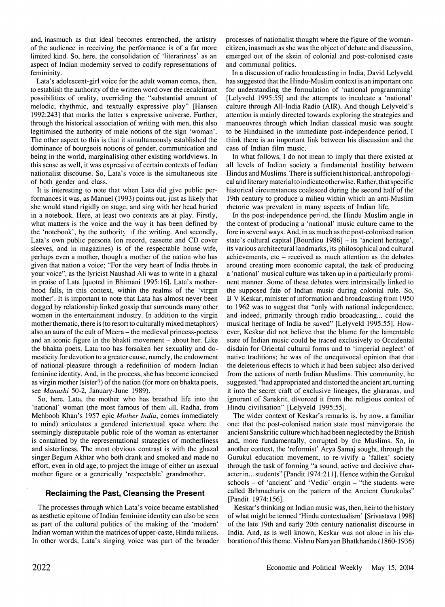**and, inasmuch as that ideal becomes entrenched, the artistry of the audience in receiving the performance is of a far more limited kind. So, here, the consolidation of 'literariness' as an aspect of Indian modernity served to codify representations of femininity.** 

**Lata's adolescent-girl voice for the adult woman comes, then, to establish the authority of the written word over the recalcitrant possibilities of orality, overriding the "substantial amount of melodic, rhythmic, and textually expressive play" [Hansen 1992:243] that marks the latter s expressive universe. Further, through the historical association of writing with men, this also legitimised the authority of male notions of the sign 'woman'. The other aspect to this is that it simultaneously established the dominance of bourgeois notions of gender, communication and being in the world,'marginalising other existing worldviews. In this sense as well, it was expressive of certain contexts of Indian nationalist discourse. So, Lata's voice is the simultaneous site of both gender and class.** 

**It is interesting to note that when Lata did give public performances it was, as Manuel (1993) points out, just as likely that she would stand rigidly on stage, and sing with her head buried in a notebook. Here, at least two contexts are at play. Firstly, what matters is the voice and the way it has been defined by**  the 'notebook', by the authority of the writing. And secondly, **Lata's own public persona (on record, cassette and CD cover sleeves, and in magazines) is of the respectable house-wife, perhaps even a mother, though a mother of the nation who has given that nation a voice; "For the very heart of India throbs in your voice", as the lyricist Naushad Ali was to write in a ghazal in praise of Lata [quoted in Bhimani 1995:16]. Lata's motherhood falls, in this context, within the realms of the 'virgin mother'. It is important to note that Lata has almost never been dogged by relationship linked gossip that surrounds many other women in the entertainment industry. In addition to the virgin mother thematic, there is (to resort to culturally mixed metaphors) also an aura of the cult of Meera - the medieval princess-poetess**  and an iconic figure in the bhakti movement – about her. Like **the bhakta poets, Lata too has forsaken her sexuality and domesticity for devotion to a greater cause, namely, the endowment of national-pleasure through a redefinition of modern Indian feminine identity. And, in the process, she has become iconcised as virgin mother (sister?) of the nation (for more on bhakta poets, see Manushi 50-2, January-June 1989).** 

**So, here, Lata, the mother who has breathed life into the 'national' woman (the most famous of them all, Radha, from Mehboob Khan's 1957 epic Mother India, comes immediately to mind) articulates a gendered intertextual space where the seemingly disreputable public role of the woman as entertainer is contained by the representational strategies of motherliness and sisterliness. The most obvious contrast is with the ghazal singer Begum Akhtar who both drank and smoked and made no effort, even in old age, to project the image of either an asexual mother figure or a generically 'respectable' grandmother.** 

# **Reclaiming the Past, Cleansing the Present**

**The processes through which Lata's voice became established as aesthetic epitome of Indian feminine identity can also be seen as part of the cultural politics of the making of the 'modern' Indian woman within the matrices of upper-caste, Hindu milieus. In other words, Lata's singing voice was part of the broader** 

**processes of nationalist thought where the figure of the womancitizen, inasmuch as she was the object of debate and discussion, emerged out of the skein of colonial and post-colonised caste and communal politics.** 

**In a discussion of radio broadcasting in India, David Lelyveld has suggested that the Hindu-Muslim context is an important one for understanding the formulation of 'national programming' [Lelyveld 1995:55] and the attempts to inculcate a 'national' culture through All-India Radio (AIR). And though Lelyveld's attention is mainly directed towards exploring the strategies and manoeuvres through which Indian classical music was sought to be Hinduised in the immediate post-independence period, I think there is an important link between his discussion and the case of Indian film music.** 

**In what follows, I do not mean to imply that there existed at all levels of Indian society a fundamental hostility between Hindus and Muslims. There is sufficient historical, anthropological and literary material to indicate otherwise. Rather, that specific historical circumstances coalesced during the second half of the 19th century to produce a milieu within which an anti-Muslim rhetoric was prevalent in many aspects of Indian life.** 

**In the post-independence period, the Hindu-Muslim angle in the context of producing a 'national' music culture came to the fore in several ways. And, in as much as the post-colonised nation state's cultural capital [Bourdieu 1986] - its 'ancient heritage', its various architectural landmarks, its philosophical and cultural achievements, etc - received as much attention as the debates around creating more economic capital, the task of producing a 'national' musical culture was taken up in a particularly prominent manner. Some of these debates were intrinsically linked to the supposed fate of Indian music during colonial rule. So, B V Keskar, minister of information and broadcasting from 1950 to 1962 was to suggest that "only with national independence, and indeed, primarily through radio broadcasting... could the musical heritage of India be saved" [Lelyveld 1995:55]. However, Keskar did not believe that the blame for the lamentable state of Indian music could be traced exclusively to Occidental disdain for Oriental cultural forms and to 'imperial neglect' of native traditions; he was of the unequivocal opinion that that the deleterious effects to which it had been subject also derived from the actions of north Indian Muslims. This community, he suggested, "had appropriated and distorted the ancient art, turning it into the secret craft of exclusive lineages, the gharanas, and ignorant of Sanskrit, divorced it from the religious context of Hindu civilisation" [Lelyveld 1995:55].** 

**The wider context of Keskar's remarks is, by now, a familiar one: that the post-colonised nation state must reinvigorate the ancient Sanskritic culture which had been neglected by the British and, more fundamentally, corrupted by the Muslims. So, in another context, the 'reformist' Arya Samaj sought, through the Gurukul education movement, to re-vivify a 'fallen' society through the task of forming "a sound, active and decisive character in... students" [Pandit 1974:21 1]. Hence within the Gurukul schools - of 'ancient' and 'Vedic' origin - "the students were called Brhmacharis on the pattern of the Ancient Gurukulas" [Pandit 1974:156].** 

**Keskar's thinking on Indian music was, then, heir to the history of what might be termed 'Hindu contextualism' [Srivastava 1998] of the late 19th and early 20th century nationalist discourse in India. And, as is well known, Keskar was not alone in his elaboration of this theme. Vishnu Narayan Bhatkhande (1860-1936)**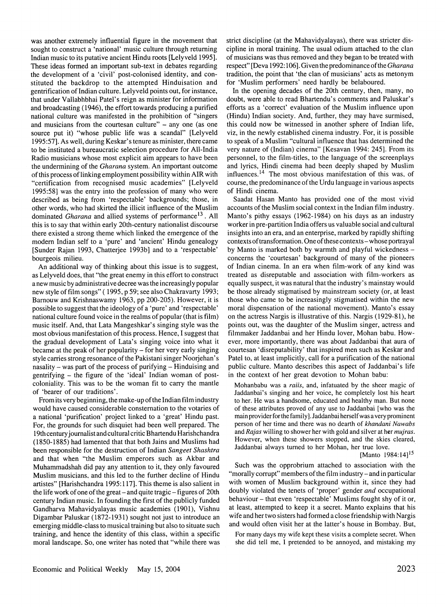**was another extremely influential figure in the movement that sought to construct a 'national' music culture through returning Indian music to its putative ancient Hindu roots [Lelyveld 1995]. These ideas formed an important sub-text in debates regarding the development of a 'civil' post-colonised identity, and constituted the backdrop to the attempted Hinduisation and gentrification of Indian culture. Lelyveld points out, for instance, that under Vallabhbhai Patel's reign as minister for information and broadcasting (1946), the effort towards producing a purified national culture was manifested in the prohibition of "singers and musicians from the courtesan culture" - any one (as one source put it) "whose public life was a scandal" [Lelyveld 1995:57]. As well, during Keskar's tenure as minister, there came to be instituted a bureaucratic selection procedure for All-India Radio musicians whose most explicit aim appears to have been the undermining of the Gharana system. An important outcome of this process of linking employment possibility within AIR with "certification from recognised music academies" [Lelyveld 1995:58] was the entry into the profession of many who were described as being from 'respectable' backgrounds; those, in other words, who had skirted the illicit influence of the Muslim dominated Gharana and allied systems of performance13. All this is to say that within early 20th-century nationalist discourse there existed a strong theme which linked the emergence of the modern Indian self to a 'pure' and 'ancient' Hindu genealogy [Sunder Rajan 1993, Chatterjee 1993b] and to a 'respectable' bourgeois milieu.** 

**An additional way of thinking about this issue is to suggest, as Lelyveld does, that "the great enemy in this effort to construct a new music by administrative decree was the increasingly popular new style of film songs" ( 1995, p 59; see also Chakravarty 1993; Barnouw and Krishnaswamy 1963, pp 200-205). However, it is possible to suggest that the ideology of a 'pure' and 'respectable' national culture found voice in the realms of popular (that is film)**  music itself. And, that Lata Mangeshkar's singing style was the **most obvious manifestation of this process. Hence, I suggest that the gradual development of Lata's singing voice into what it became at the peak of her popularity - for her very early singing style carries strong resonance of the Pakistani singer Noorjehan' s nasality - was part of the process of purifying - Hinduising and gentrifying - the figure of the 'ideal' Indian woman of postcoloniality. This was to be the woman fit to carry the mantle of 'bearer of our traditions'.** 

**From its very beginning, the make-up of the Indian film industry would have caused considerable consternation to the votaries of a national 'purification' project linked to a 'great' Hindu past. For, the grounds for such disquiet had been well prepared. The 19th century journalist and cultural critic Bhartendu Harishchandra (1850-1885) had lamented that that both Jains and Muslims had been responsible for the destruction of Indian Sangeet Shashtra and that when "the Muslim emperors such as Akbar and Muhammadshah did pay any attention to it, they only favoured Muslim musicians, and this led to the further decline of Hindu artistes" [Harishchandra 1995:117]. This theme is also salient in the life work of one of the great - and quite tragic - figures of 20th century Indian music. In founding the first of the publicly funded Gandharva Mahavidyalayas music academies (1901), Vishnu Digambar Paluskar (1872-1931) sought not just to introduce an emerging middle-class to musical training but also to situate such training, and hence the identity of this class, within a specific moral landscape. So, one writer has noted that "while there was** 

**strict discipline (at the Mahavidyalayas), there was stricter discipline in moral training. The usual odium attached to the clan of musicians was thus removed and they began to be treated with respect" [Deva 1992:106]. Given the predominance of the Gharana tradition, the point that 'the clan of musicians' acts as metonym for 'Muslim performers' need hardly be belaboured.** 

**In the opening decades of the 20th century, then, many, no doubt, were able to read Bhartendu's comments and Paluskar's efforts as a 'correct' evaluation of the Muslim influence upon (Hindu) Indian society. And, further, they may have surmised, this could now be witnessed in another sphere of Indian life, viz, in the newly established cinema industry. For, it is possible to speak of a Muslim "cultural influence that has determined the very nature of (Indian) cinema" [Kesavan 1994: 245]. From its personnel, to the film-titles, to the language of the screenplays and lyrics, Hindi cinema had been deeply shaped by Muslim influences.14 The most obvious manifestation of this was, of course, the predominance of the Urdu language in various aspects of Hindi cinema.** 

**Saadat Hasan Manto has provided one of the most vivid accounts of the Muslim social context in the Indian film industry. Manto's pithy essays (1962-1984) on his days as an industry worker in pre-partition India offers us valuable social and cultural insights into an era, and an enterprise, marked by rapidly shifting contexts of transformation. One of these contexts - whose portrayal by Manto is marked both by warmth and playful wickedness concerns the 'courtesan' background of many of the pioneers of Indian cinema. In an era when film-work of any kind was treated as disreputable and association with film-workers as equally suspect, it was natural that the industry's mainstay would be those already stigmatised by mainstream society (or, at least those who came to be increasingly stigmatised within the new moral dispensation of the national movement). Manto's essay on the actress Nargis is illustrative of this. Nargis (1929-81), he points out, was the daughter of the Muslim singer, actress and filmmaker Jaddanbai and her Hindu lover, Mohan babu. However, more importantly, there was about Jaddanbai that aura of courtesan 'disreputability' that inspired men such as Keskar and Patel to, at least implicitly, call for a purification of the national public culture. Manto describes this aspect of Jaddanbai's life in the context of her great devotion to Mohan babu:** 

Mohanbabu was a *raiis*, and, infatuated by the sheer magic of **Jaddanbai's singing and her voice, he completely lost his heart to her. He was a handsome, educated and healthy man. But none of these attributes proved of any use to Jaddanbai [who was the main provider for the family]. Jaddanbai herself was a very prominent person of her time and there was no dearth of khandani Nawabs and Rajas willing to shower her with gold and silver at her mujras. However, when these showers stopped, and the skies cleared, Jaddanbai always turned to her Mohan, her true love.** 

**[Manto 1984:14]15** 

**Such was the opprobrium attached to association with the "morally corrupt" members of the film industry - and in particular with women of Muslim background within it, since they had doubly violated the tenets of 'proper' gender and occupational behaviour - that even 'respectable' Muslims fought shy of it or, at least, attempted to keep it a secret. Manto explains that his wife and her two sisters had formed a close friendship with Nargis and would often visit her at the latter's house in Bombay. But,** 

**For many days my wife kept these visits a complete secret. When she did tell me, I pretended to be annoyed, and mistaking my**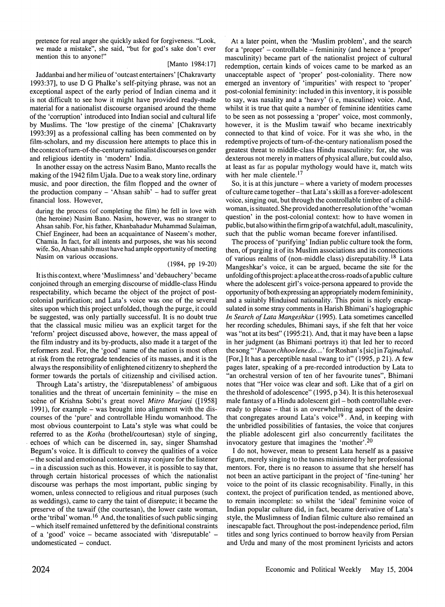**pretence for real anger she quickly asked for forgiveness. "Look, we made a mistake", she said, "but for god's sake don't ever mention this to anyone!"** 

#### **[Manto 1984:17]**

**Jaddanbai and her milieu of 'outcast entertainers' [Chakravarty 1993:37], to use D G Phalke's self-pitying phrase, was not an exceptional aspect of the early period of Indian cinema and it is not difficult to see how it might have provided ready-made material for a nationalist discourse organised around the theme of the 'corruption' introduced into Indian social and cultural life by Muslims. The 'low prestige of the cinema' [Chakravarty 1993:39] as a professional calling has been commented on by film-scholars, and my discussion here attempts to place this in the context of tur-of-the-century nationalist discourses on gender and religious identity in 'modern' India.** 

**In another essay on the actress Nasim Bano, Manto recalls the making of the 1942 film Ujala. Due to a weak story line, ordinary music, and poor direction, the film flopped and the owner of the production company - 'Ahsan sahib' - had to suffer great financial loss. However,** 

**during the process (of completing the film) he fell in love with (the heroine) Nasim Bano. Nasim, however, was no stranger to Ahsan sahib. For, his father, Khanbahadur Muhammad Sulaiman, Chief Engineer, had been an acquaintance of Naseem's mother, Chamia. In fact, for all intents and purposes, she was his second wife. So, Ahsan sahib must have had ample opportunity of meeting Nasim on various occasions.** 

#### **(1984, pp 19-20)**

**It is this context, where 'Muslimness' and 'debauchery' became conjoined through an emerging discourse of middle-class Hindu respectability, which became the object of the project of postcolonial purification; and Lata's voice was one of the several sites upon which this project unfolded, though the purge, it could be suggested, was only partially successful. It is no doubt true that the classical music milieu was an explicit target for the 'reform' project discussed above, however, the mass appeal of the film industry and its by-products, also made it a target of the reformers zeal. For, the 'good' name of the nation is most often at risk from the retrograde tendencies of its masses, and it is the always the responsibility of enlightened citizenry to shepherd the former towards the portals of citizenship and civilised action.** 

**Through Lata's artistry, the 'disreputableness' of ambiguous tonalities and the threat of uncertain femininity - the mise en scene of Krishna Sobti's great novel Mitro Marjani ([1958] 1991), for example - was brought into alignment with the discourses of the 'pure' and controllable Hindu womanhood. The most obvious counterpoint to Lata's style was what could be referred to as the Kotha (brothel/courtesan) style of singing, echoes of which can be discerned in, say, singer Shamshad Begum's voice. It is difficult to convey the qualities of a voice - the social and emotional contexts it may conjure for the listener - in a discussion such as this. However, it is possible to say that, through certain historical processes of which the nationalist discourse was perhaps the most important, public singing by women, unless connected to religious and ritual purposes (such as weddings), came to carry the taint of disrepute; it became the preserve of the tawaif (the courtesan), the lower caste woman, orthe 'tribal' woman.16 And, the tonalities of such public singing - which itself remained unfettered by the definitional constraints of a 'good' voice - became associated with 'disreputable' undomesticated - conduct.** 

**At a later point, when the 'Muslim problem', and the search for a 'proper' - controllable - femininity (and hence a 'proper' masculinity) became part of the nationalist project of cultural redemption, certain kinds of voices came to be marked as an unacceptable aspect of 'proper' post-coloniality. There now emerged an inventory of 'impurities' with respect to 'proper' post-colonial femininity: included in this inventory, it is possible to say, was nasality and a 'heavy' (i e, masculine) voice. And, whilst it is true that quite a number of feminine identities came to be seen as not possessing a 'proper' voice, most commonly, however, it is the Muslim tawaif who became inextricably connected to that kind of voice. For it was she who, in the redemptive projects of turn-of-the-century nationalism posed the greatest threat to middle-class Hindu masculinity: for, she was dexterous not merely in matters of physical allure, but could also, at least as far as popular mythology would have it, match wits with her male clientele.17** 

**So, it is at this juncture - where a variety of modem processes of culture came together - that Lata' s skill as a forever-adolescent voice, singing out, but through the controllable timbre of a childwoman, is situated. She provided another resolution of the 'woman question' in the post-colonial context: how to have women in public, but also within the firm grip of a watchful, adult, masculinity, such that the public woman became forever infantilised.** 

**The process of 'purifying' Indian public culture took the form, then, of purging it of its Muslim associations and its connections of various realms of (non-middle class) disreputability.18 Lata Mangeshkar's voice, it can be argued, became the site for the unfolding of this project: a place at the cross-roads of a public culture where the adolescent girl's voice-persona appeared to provide the opportunity of both expressing an appropriately modem femininity, and a suitably Hinduised nationality. This point is nicely encapsulated in some stray comments in Harish Bhimani's hagiographic In Search of Lata Mangeshkar (1995). Lata sometimes cancelled her recording schedules, Bhimani says, if she felt that her voice was "not at its best" (1995:21). And, that it may have been a lapse in her judgment (as Bhimani portrays it) that led her to record the song " 'Paaon chhoo lene do...' for Roshan's [sic] in Tajmahal. [For,] It has a perceptible nasal twang to it" (1995, p 21). A few pages later, speaking of a pre-recorded introduction by Lata to "an orchestral version of ten of her favourite tunes", Bhimani notes that "Her voice was clear and soft. Like that of a girl on the threshold of adolescence" (1995, p 34). It is this heterosexual**  male fantasy of a Hindu adolescent girl – both controllable ever**ready to please - that is an overwhelming aspect of the desire that congregates around Lata's voice19. And, in keeping with the unbridled possibilities of fantasies, the voice that conjures the pliable adolescent girl also concurrently facilitates the invocatory gesture that imagines the 'mother'.20** 

**I do not, however, mean to present Lata herself as a passive figure, merely singing to the tunes ministered by her professional mentors. For, there is no reason to assume that she herself has not been an active participant in the project of 'fine-tuning' her voice to the point of its classic recognisability. Finally, in this context, the project of purification tended, as mentioned above, to remain incomplete: so whilst the 'ideal' feminine voice of Indian popular culture did, in fact, became derivative of Lata's style, the Muslimness of Indian filmic culture also remained an inescapable fact. Throughout the post-independence period, film titles and song lyrics continued to borrow heavily from Persian and Urdu and many of the most prominent lyricists and actors**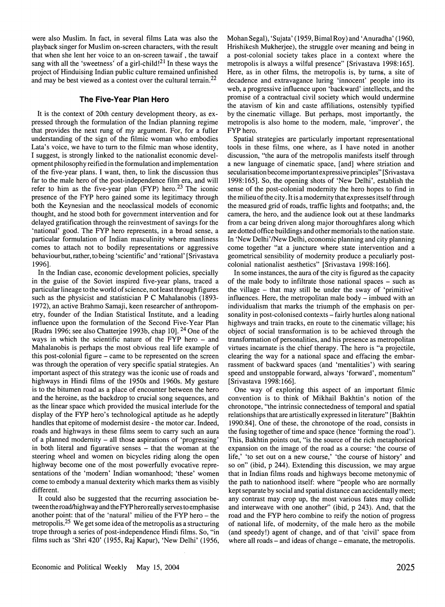**were also Muslim. In fact, in several films Lata was also the playback singer for Muslim on-screen characters, with the result that when she lent her voice to an on-screen tawaif, the tawaif sang with all the 'sweetness' of a girl-child!21 In these ways the project of Hinduising Indian public culture remained unfinished and may be best viewed as a contest over the cultural terrain.22** 

# **The Five-Year Plan Hero**

**It is the context of 20th century development theory, as expressed through the formulation of the Indian planning regime that provides the next rung of my argument. For, for a fuller understanding of the sign of the filmic woman who embodies Lata's voice, we have to turn to the filmic man whose identity, I suggest, is strongly linked to the nationalist economic development philosophy reified in the formulation and implementation of the five-year plans. I want, then, to link the discussion thus far to the male hero of the post-independence film era, and will**  refer to him as the five-year plan (FYP) hero.<sup>23</sup> The iconic **presence of the FYP hero gained some its legitimacy through both the Keynesian and the neoclassical models of economic thought, and he stood both for government intervention and for delayed gratification through the reinvestment of savings for the 'national' good. The FYP hero represents, in a broad sense, a particular formulation of Indian masculinity where manliness comes to attach not to bodily representations or aggressive behaviourbut, rather, to being 'scientific' and 'rational' [Srivastava 1996].** 

**In the Indian case, economic development policies, specially in the guise of the Soviet inspired five-year plans, traced a particular lineage to the world of science, not least through figures such as the physicist and statistician P C Mahalanobis (1893- 1972), an active Brahmo Samaji, keen researcher of anthropometry, founder of the Indian Statistical Institute, and a leading influence upon the formulation of the Second Five-Year Plan [Rudra 1996; see also Chatterjee 1993b, chap 10]. 24 One of the ways in which the scientific nature of the FYP hero - and Mahalanobis is perhaps the most obvious real life example of this post-colonial figure - came to be represented on the screen was through the operation of very specific spatial strategies. An important aspect of this strategy was the iconic use of roads and highways in Hindi films of the 1950s and 1960s. My gesture is to the bitumen road as a place of encounter between the hero and the heroine, as the backdrop to crucial song sequences, and as the linear space which provided the musical interlude for the display of the FYP hero's technological aptitude as he adeptly handles that epitome of modernist desire - the motor car. Indeed, roads and highways in these films seem to carry such an aura of a planned modernity - all those aspirations of 'progressing'**  in both literal and figurative senses – that the woman at the **steering wheel and women on bicycles riding along the open highway become one of the most powerfully evocative repre**sentations of the 'modern' Indian womanhood; 'these' women **come to embody a manual dexterity which marks them as visibly different.** 

**It could also be suggested that the recurring association between the road/highway and the FYP hero really serves to emphasise another point: that of the 'natural' milieu of the FYP hero - the metropolis.25 We get some idea of the metropolis as a structuring trope through a series of post-independence Hindi films. So, "in films such as 'Shri 420' (1955, Raj Kapur), 'New Delhi' (1956,**  **Mohan Segal), 'Sujata' (1959, Bimal Roy) and 'Anuradha' (1960, Hrishikesh Mukherjee), the struggle over meaning and being in a post-colonial society takes place in a context where the metropolis is always a wilful presence" [Srivastava 1998:165]. Here, as in other films, the metropolis is, by turns, a site of decadence and extravagance luring 'innocent' people into its web, a progressive influence upon 'backward' intellects, and the promise of a contractual civil society which would undermine the atavism of kin and caste affiliations, ostensibly typified by the cinematic village. But perhaps, most importantly, the metropolis is also home to the modern, male, 'improver', the FYP hero.** 

**Spatial strategies are particularly important representational tools in these films, one where, as I have noted in another discussion, "the aura of the metropolis manifests itself through a new language of cinematic space, [and] where striation and secularisation become important expressive principles" [Srivastava 1998:165]. So, the opening shots of 'New Delhi', establish the sense of the post-colonial modernity the hero hopes to find in the milieu of the city. It is a modernity that expresses itself through the measured grid of roads, traffic lights and footpaths; and, the camera, the hero, and the audience look out at these landmarks from a car being driven along major thoroughfares along which are dotted office buildings and other memorials to the nation state. In 'New Delhi'/New Delhi, economic planning and city planning come together "at a juncture where state intervention and a geometrical sensibility of modernity produce a peculiarly postcolonial nationalist aesthetics" [Srivastava 1998:166].** 

**In some instances, the aura of the city is figured as the capacity of the male body to infiltrate those national spaces - such as the village - that may still be under the sway of 'primitive'**  influences. Here, the metropolitan male body – imbued with an **individualism that marks the triumph of the emphasis on personality in post-colonised contexts - fairly hurtles along national highways and train tracks, en route to the cinematic village; his object of social transformation is to be achieved through the transformation of personalities, and his presence as metropolitan virtues incarnate is the chief therapy. The hero is "a projectile, clearing the way for a national space and effacing the embarrassment of backward spaces (and 'mentalities') with searing speed and unstoppable forward, always 'forward', momentum" [Srivastava 1998:166].** 

**One way of exploring this aspect of an important filmic convention is to think of Mikhail Bakhtin's notion of the chronotope, "the intrinsic connectedness of temporal and spatial relationships that are artistically expressed in literature" [Bakhtin 1990:84]. One of these, the chronotope of the road, consists in the fusing together of time and space (hence 'forming the road'). This, Bakhtin points out, "is the source of the rich metaphorical expansion on the image of the road as a course: 'the course of life,' 'to set out on a new course,' 'the course of history' and so on" (ibid, p 244). Extending this discussion, we may argue that in Indian films roads and highways become metonymic of the path to nationhood itself: where "people who are normally kept separate by social and spatial distance can accidentally meet; any contrast may crop up, the most various fates may collide and interweave with one another" (ibid, p 243). And, that the road and the FYP hero combine to reify the notion of progress of national life, of modernity, of the male hero as the mobile (and speedy!) agent of change, and of that 'civil' space from**  where all roads – and ideas of change – emanate, the metropolis.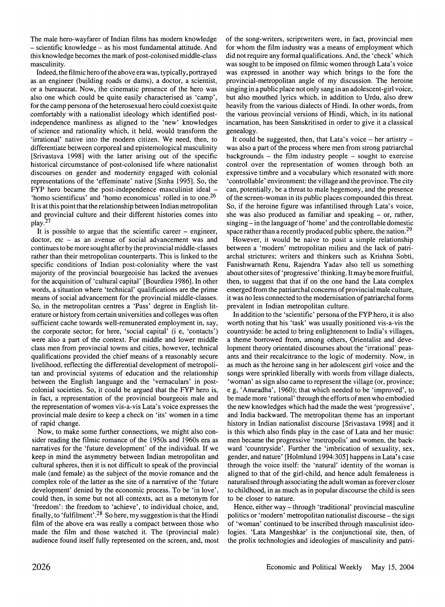**The male hero-wayfarer of Indian films has modern knowledge - scientific knowledge - as his most fundamental attitude. And this knowledge becomes the mark of post-colonised middle-class masculinity.** 

**Indeed, the filmic hero of the above era was, typically, portrayed as an engineer (building roads or dams), a doctor, a scientist, or a bureaucrat. Now, the cinematic presence of the hero was also one which could be quite easily characterised as 'camp', for the camp persona of the heterosexual hero could coexist quite comfortably with a nationalist ideology which identified postindependence manliness as aligned to the 'new' knowledges of science and rationality which, it held, would transform the 'irrational' native into the modern citizen. We need, then, to differentiate between corporeal and epistemological masculinity [Srivastava 1998] with the latter arising out of the specific historical circumstance of post-colonised life where nationalist discourses on gender and modernity engaged with colonial representations of the 'effeminate' native [Sinha 1995]. So, the FYP** hero became the post-independence masculinist ideal – **'homo scientificus' and 'homo economicus' rolled in to one.26 It is at this point that the relationship between Indian metropolitan and provincial culture and their different histories comes into play.27** 

**It is possible to argue that the scientific career - engineer, doctor, etc - as an avenue of social advancement was and continues to be more sought after by the provincial middle-classes rather than their metropolitan counterparts. This is linked to the specific conditions of Indian post-coloniality where the vast majority of the provincial bourgeoisie has lacked the avenues for the acquisition of 'cultural capital' [Bourdieu 1986]. In other words, a situation where 'technical' qualifications are the prime means of social advancement for the provincial middle-classes. So, in the metropolitan centres a 'Pass' degree in English literature or history from certain universities and colleges was often sufficient cache towards well-remunerated employment in, say, the corporate sector; for here, 'social capital' (i e, 'contacts') were also a part of the context. For middle and lower middle class men from provincial towns and cities, however, technical qualifications provided the chief means of a reasonably secure livelihood, reflecting the differential development of metropolitan and provincial systems of education and the relationship between the English language and the 'vernaculars' in postcolonial societies. So, it could be argued that the FYP hero is, in fact, a representation of the provincial bourgeois male and the representation of women vis-a-vis Lata's voice expresses the provincial male desire to keep a check on 'its' women in a time of rapid change.** 

**Now, to make some further connections, we might also consider reading the filmic romance of the 1950s and 1960s era as narratives for the 'future development' of the individual. If we keep in mind the asymmetry between Indian metropolitan and cultural spheres, then it is not difficult to speak of the provincial male (and female) as the subject of the movie romance and the complex role of the latter as the site of a narrative of the 'future development' denied by the economic process. To be 'in love', could then, in some but not all contexts, act as a metonym for 'freedom': the freedom to 'achieve', to individual choice, and, finally, to 'fulfilment'.28 So here, my suggestion is that the Hindi film of the above era was really a compact between those who made the film and those watched it. The (provincial male) audience found itself fully represented on the screen, and, most** 

**of the song-writers, scriptwriters were, in fact, provincial men for whom the film industry was a means of employment which did not require any formal qualifications. And, the 'check' which was sought to be imposed on filmic women through Lata's voice was expressed in another way which brings to the fore the provincial-metropolitan angle of my discussion. The heroine singing in a public place not only sang in an adolescent-girl voice, but also mouthed lyrics which, in addition to Urdu, also drew heavily from the various dialects of Hindi. In other words, from the various provincial versions of Hindi, which, in its national incarnation, has been Sanskritised in order to give it a classical genealogy.** 

**It could be suggested, then, that Lata's voice - her artistry was also a part of the process where men from strong patriarchal backgrounds - the film industry people - sought to exercise control over the representation of women through both an expressive timbre and a vocabulary which resonated with more 'controllable' environment: the village and the province. The city can, potentially, be a threat to male hegemony, and the presence of the screen-woman in its public places compounded this threat. So, if the heroine figure was infantilised through Lata's voice,**  she was also produced as familiar and speaking – or, rather, **singing - in the language of 'home' and the controllable domestic space rather than a recently produced public sphere, the nation.29** 

**However, it would be naive to posit a simple relationship between a 'modem' metropolitan milieu and the lack of patriarchal strictures; writers and thinkers such as Krishna Sobti, Fanishwarnath Renu, Rajendra Yadav also tell us something about other sites of 'progressive' thinking. It may be more fruitful, then, to suggest that that if on the one hand the Lata complex emerged from the patriarchal concerns of provincial male culture, it was no less connected to the modernisation of patriarchal forms prevalent in Indian metropolitan culture.** 

**In addition to the 'scientific' persona of the FYP hero, it is also worth noting that his 'task' was usually positioned vis-a-vis the countryside: he acted to bring enlightenment to India's villages, a theme borrowed from, among others, Orientalist and development theory orientated discourses about the 'irrational' peasants and their recalcitrance to the logic of modernity. Now, in as much as the heroine sang in her adolescent girl voice and the songs were sprinkled liberally with words from village dialects, 'woman' as sign also came to represent the village (or, province; e g, 'Anuradha', 1960); that which needed to be 'improved', to be made more 'rational' through the efforts of men who embodied the new knowledges which had the made the west 'progressive', and India backward. The metropolitan theme has an important history in Indian nationalist discourse [Srivastava 1998] and it is this which also finds play in the case of Lata and her music: men became the progressive 'metropolis' and women, the backward 'countryside'. Further the 'imbrication of sexuality, sex, gender, and nature' [Holmlund 1994:305] happens in Lata's case through the voice itself: the 'natural' identity of the woman is aligned to that of the girl-child, and hence adult femaleness is naturalised through associating the adult woman as forever closer to childhood, in as much as in popular discourse the child is seen to be closer to nature.** 

**Hence, either way - through 'traditional' provincial masculine politics or 'modern' metropolitan nationalist discourse - the sign of 'woman' continued to be inscribed through masculinist ideologies. 'Lata Mangeshkar' is the conjunctional site, then, of the prolix technologies and ideologies of masculinity and patri-**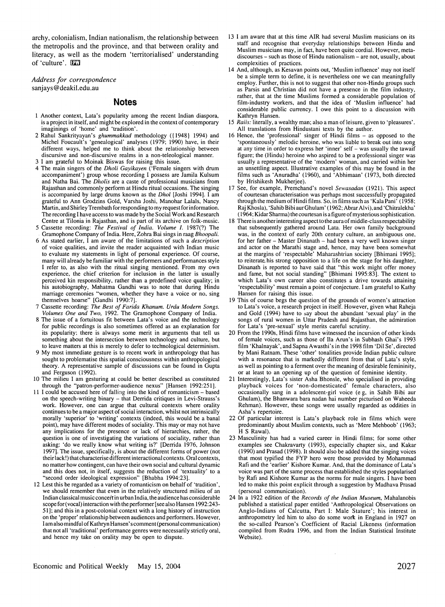**archy, colonialism, Indian nationalism, the relationship between the metropolis and the province, and that between orality and literacy, as well as the modern 'territorialised' understanding**  of 'culture'. **III** 

**Address for correspondence sanjays@deakil.edu.au** 

#### **Notes**

- **1 Another context, Lata's popularity among the recent Indian diaspora, is a project in itself, and might be explored in the context of contemporary imaginings of 'home' and 'tradition'.**
- **2 Rahul Sankrityayan's ghummakkad methodology ({1948} 1994) and Michel Foucault's 'genealogical' analyses (1979; 1990) have, in their different ways, helped me to think about the relationship between discursive and non-discursive realms in a non-teleological manner.**
- **3 I am grateful to Moinak Biswas for raising this issue.**
- **4 The main singers of the Dholi Gayikayen ('Female singers with drum accompaniment') group whose recording I possess are Jamila Kulsum and Natha Bai. The Dholis are a caste of professional musicians from Rajasthan and commonly perform at Hindu ritual occasions. The singing is accompanied by large drums known as the Dhol [Joshi 1994]. I am grateful to Ann Grodzins Gold, Varsha Joshi, Manohar Lalals, Nancy Martin, and Shirley Trembath for responding to my request for information. The recording I have access to was made by the Social Work and Research Centre at Tilonia in Rajasthan, and is part of its archive on folk-music.**
- **5 Cassette recording: The Festival of India. Volume I. 1987(?) The Gramophone Company of India. Here, Zohra Bai sings in raag Bhoopali.**
- **6 As stated earlier, I am aware of the limitations of such a description of voice qualities, and invite the reader acquainted with Indian music to evaluate my statements in light of personal experience. Of course, many will already be familiar with the performers and performances style I refer to, as also with the ritual singing mentioned. From my own experience, the chief criterion for inclusion in the latter is usually perceived kin responsibility, rather than a predefined voice quality; in his autobiography, Mahatma Gandhi was to note that during Hindu marriage ceremonies "women, whether they have a voice or no, sing themselves hoarse" [Gandhi 1990:7].**
- **7 Cassette recording: The Best of Farida Khanum. Urdu Modern Songs. Volumes One and Two, 1992. The Gramophone Company of India.**
- **8 The issue of a fortuitous fit between Lata's voice and the technology for public recordings is also sometimes offered as an explanation for its popularity; there is always some merit in arguments that tell us something about the intersection between technology and culture, but to leave matters at this is merely to defer to technological determinism.**
- **9 My most immediate gesture is to recent work in anthropology that has sought to problematise this spatial consciousness within anthropological theory. A representative sample of discussions can be found in Gupta and Ferguson (1992).**
- **10 The milieu I am gesturing at could be better described as constituted through the "patron-performer-audience nexus" [Hansen 1992:251].**
- **11 I could be accused here of falling into the kind of romanticism based on the speech-writing binary - that Derrida critiques in Levi-Strauss's work. However, one can argue that cultural contexts where orality continues to be a major aspect of social interaction, whilst not intrinsically morally 'superior' to 'writing' contexts (indeed, this would be a banal point), may have different modes of sociality. This may or may not have any implications for the presence or lack of hierarchies, rather, the question is one of investigating the variations of sociality, rather than asking: 'do we really know what writing is?' [Derrida 1976, Johnson 1997]. The issue, specifically, is about the different forms of power (not their lack!) that characterise different interactional contexts. Oral contexts, no matter how contingent, can have their own social and cultural dynamic and this does not, in itself, suggests the reduction of 'textuality' to a "second order ideological expression" [Bhabha 1994:23].**
- **12 Lest this be regarded as a variety of romanticism on behalf of 'tradition', we should remember that even in the relatively structured milieu of an Indian classical music concert in urban India, the audience has considerable scope for (vocal) interaction with the performer [see also Hansen 1992:243- 51]; and this in a post-colonial context with a long history of instruction on the 'proper' relationship between audiences and performers. However, I am also mindful of Kathryn Hansen's comment (personal communication) that not all 'traditional' performance genres were necessarily strictly oral, and hence my take on orality may be open to dispute.**
- **13 I am aware that at this time AIR had several Muslim musicians on its staff and recognise that everyday relationships between Hindu and Muslim musicians may, in fact, have been quite cordial. However, metadiscourses - such as those of Hindu nationalism - are not, usually, about complexities of practices.**
- **14 And, although, as Kesavan points out, 'Muslim influence' may not itself be a simple term to define, it is nevertheless one we can meaningfully employ. Further, this is not to suggest that other non-Hindu groups such as Parsis and Christian did not have a presence in the film industry, rather, that at the time Muslims formed a considerable population of film-industry workers, and that the idea of 'Muslim influence' had considerable public currency. I owe this point to a discussion with Kathryn Hansen.**
- **15 Raiis: literally, a wealthy man; also a man of leisure, given to 'pleasures'. All translations from Hindustani texts by the author.**
- **16 Hence, the 'professional' singer of Hindi films as opposed to the 'spontaneously' melodic heroine, who was liable to break out into song at any time in order to express her 'inner' self - was usually the tawaif figure; the (Hindu) heroine who aspired to be a professional singer was usually a representative of the 'modern' woman, and carried within her an unsettling aspect. Illustrative examples of this may be found in the films such as 'Anuradha' (1960), and 'Abhimaan' (1973, both directed by Hrishikesh Mukherjee).**
- **17 See, for example, Premchand's novel Sewasadan (1921). This aspect of courtesan characterisation was perhaps most successfully propagated through the medium of Hindi films. So, in films such as 'KalaPani' (1958; Raj Khosla), 'Sahib Bibi aurGhulam' (1962; AbrarAlvi), and 'Chitralekha' (1964; Kidar Sharma) the courtesan is a figure of mysterious sophistication.**
- **18 There is another interesting aspect to the aura of middle-class respectability that subsequently gathered around Lata. Her own family background was, in the context of early 20th century culture, an ambiguous one, for her father - Master Dinanath - had been a very well known singer and actor on the Marathi stage and, hence, may have been somewhat at the margins of 'respectable' Maharashtrian society [Bhimani 1995]; to reiterate,his strong opposition to a life on the stage for his daughter, Dinanath is reported to have said that "this work might offer money and fame, but not social standing" [Bhimani 1995:83]. The extent to which Lata's own career also constitutes a drive towards attaining 'respectability' must remain a point of conjecture. I am grateful to Kathy Hansen for raising this issue.**
- **19 This of course begs the question of the grounds of women's attraction to Lata's voice, a research project in itself. However, given what Raheja and Gold (1994) have to say about the abundant 'sexual play' in the songs of rural women in Uttar Pradesh and Rajasthan, the admiration for Lata's 'pre-sexual' style merits careful scrutiny.**
- **20 From the 1990s, Hindi films have witnessed the incursion of other kinds of female voices, such as those of Ila Arun's in Subhash Ghai's 1993 film 'Khalnayak', and Sapna Awasthi's in the 1998 film 'Dil Se', directed by Mani Ratnam. These 'other' tonalities provide Indian public culture with a resonance that is markedly different from that of Lata's style, as well as pointing to a ferment over the meaning of desirable femininity, or at least to an opening up of the question of feminine identity.**
- **21 Interestingly, Lata's sister Asha Bhonsle, who specialised in providing playback voices for 'non-domesticated' female characters, also occasionally sang in a adolescent-girl voice (e g, in Sahib Bibi aur Ghulam), the Bhanwara bara nadan hai number picturised on Waheeda Rehman). However, these songs were usually regarded as oddities in Asha's repertoire.**
- **22 Of particular interest is Lata's playback role in films which were predominantly about Muslim contexts, such as 'Mere Mehboob' (1963; H S Rawal).**
- **23 Masculinity has had a varied career in Hindi films; for some other examples see Chakravarty (1993), especially chapter six, and Kakar (1990) and Prasad (1998). It should also be added that the singing voices that most typified the FYP hero were those provided by Mohammad Rafi and the 'earlier' Kishore Kumar. And, that the dominance of Lata's voice was part of the same process that established the styles popularised by Rafi and Kishore Kumar as the norms for male singers. I have been led to make this point explicit through a suggestion by Madhava Prasad (personal communication).**
- **24 In a 1922 edition of the Records of the Indian Museum, Mahalanobis published a statistical paper entitled 'Anthropological Observations on Anglo-Indians of Calcutta, Part I: Male Stature'; his interest in anthropometry led him to also do some work in England in 1927 on the so-called Pearson's Coefficient of Racial Likeness (information compiled from Rudra 1996, and from the Indian Statistical Institute Website).**